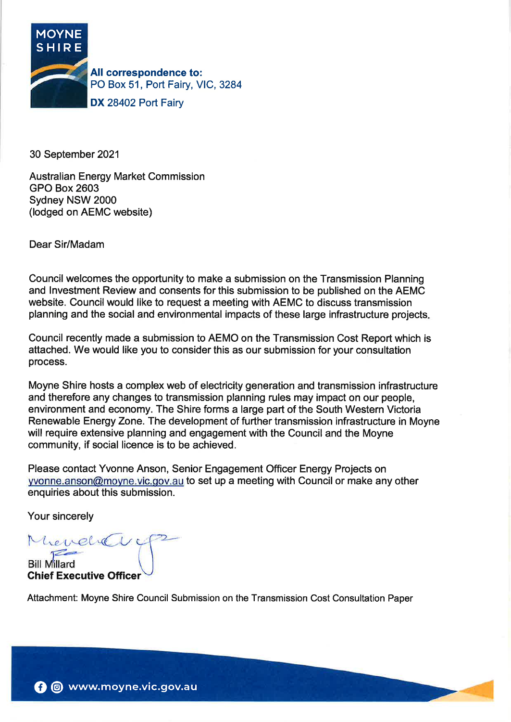

30 September 2021

Australian Energy Market Commission GPO Box 2603 Sydney NSW 2000 (lodged on AEMC website)

Dear Sir/Madam

Council welcomes the opportunity to make a submission on the Transmission Planning and lnvestment Review and consents for this submission to be published on the AEMC website. Council would like to request a meeting with AEMC to discuss transmission planning and the social and environmental impacts of these large infrastructure projects

Council recently made a submission to AEMO on the Transmission Cost Report which is attached. We would like you to consider this as our submission for your consultation process.

Moyne Shire hosts a complex web of electricity generation and transmission infrastructure and therefore any changes to transmission planning rules may impact on our people, environment and economy. The Shire forms a large part of the South Western Victoria Renewable Energy Zone. The development of further transmission infrastructure in Moyne will require extensive planning and engagement with the Council and the Moyne community, if social licence is to be achieved.

Please contact Yvonne Anson, Senior Engagement Officer Energy Projects on yvonne.anson@moyne.vic.gov.au to set up a meeting with Council or make any other enquiries about this submission.

Your sincerely

Mendrevi

**Bill Millard** Ghief Executive Officer

Attachment: Moyne Shire Council Submission on the Transmission Cost Consultation Paper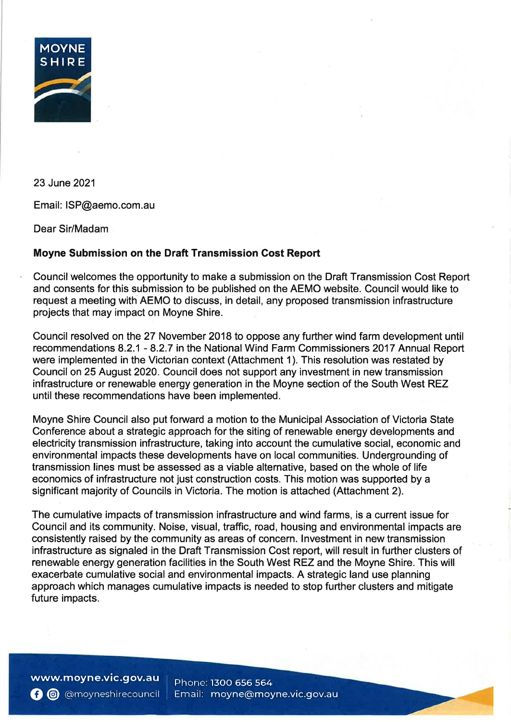

23 June 2021

Email: ISP@aemo.com.au

Dear Sir/Madam

# Moyne Submission on the Draft Transmission Cost Report

Council welcomes the opportunity to make a submission on the Draft Transmission Cost Report and consents for this submission to be published on the AEMO website. Council would like to request a meeting with AEMO to discuss, in detail, any proposed transmission infrastructure projects that may impact on Moyne Shire.

Council resolved on the 27 November 2018 to oppose any further wind farm development until recommendations 8.2.1 - 8.2.7 in the National Wind Farm Commissioners 2017 Annual Report were implemented in the Victorian context (Attachment 1). This resolution was restated by Council on 25 August 2020. Council does not support any investment in new transmission infrastructure or renewable energy generation in the Moyne section of the South West REZ until these recommendations have been implemented.

Moyne Shire Council also put forward a motion to the Municipal Association of Victoria State Conference about a strategic approach for the siting of renewable energy developments and electricity transmission infrastructure, taking into account the cumulative social, economic and environmental impacts these developments have on local communities. Undergrounding of transmission lines must be assessed as a viable alternative, based on the whole of life economics of infrastructure not just construction costs. This motion was supported by a significant majority of Councils in Victoria. The motion is attached (Attachment 2).

The cumulative impacts of transmission infrastructure and wind farms, is a current issue for Council and its community. Noise, visual, traffic, road, housing and environmental impacts are consistently raised by the community as areas of concern. lnvestment in new transmission infrastructure as signaled in the Draft Transmission Cost report, will result in further clusters of renewable energy generation facilities in the South West REZ and the Moyne Shire. This will exacerbate cumulative social and environmental impacts. A strategic land use planning approach which manages cumulative impacts is needed to stop further clusters and mitigate future impacts.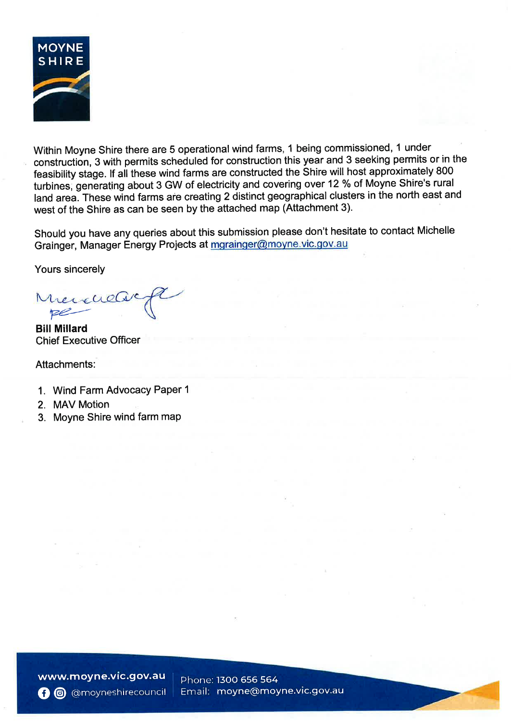

Within Moyne Shire there are 5 operational wind farms, 1 being commissioned, 1 under construction, 3 with permits scheduled for construction this year and 3 seeking permits or in the feasibility stage. lf ail these wind farms are constructed the Shire will host approximately 800 turbines, generating about 3 GW of electricity and covering over 12 % of Moyne Shire's rural land area. These wind farms are creating 2 distinct geographical clusters in the north east and west of the Shire as can be seen by the attached map (Attachment 3).

Should you have any queries about this submission please don't hesitate to contact Michelle Grainger, Manager Energy Projects at mgrainger@moyne.vic.gov.au

Yours sincerely

Mercuels

Bill Millard Chief Executive Officer

# Attachments:

- 1. Wind Farm Advocacy Paper 1
- 2. MAV Motion
- 3. Moyne Shire wind farm map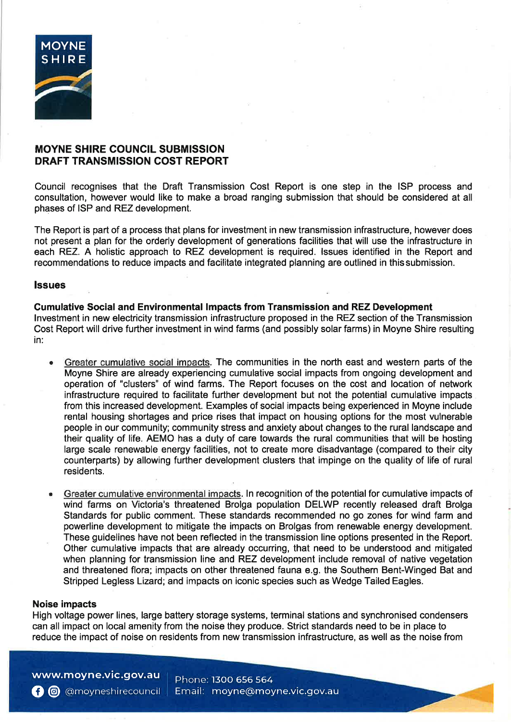

# MOYNE SHIRE COUNCIL SUBMISSION DRAFT TRANSMISSION COST REPORT

Council recognises that the Draft Transmission Cost Report is one step in the ISP process and consultation, however would like to make a broad ranging submission that should be considered at all phases of ISP and REZ development.

The Report is part of a process that plans for investment in new transmission infrastructure, however does not present a plan for the orderly development of generations facilities that will use the infrastructure in each REZ. A holistic approach to REZ development is required. lssues identified in the Report and recommendations to reduce impacts and facilitate integrated planning are outlined in thissubmission.

#### lssues

#### Cumulative Social and Environmental lmpacts from Transmission and REZ Development

lnvestment in new electricity transmission infrastructure proposed in the REZ section of the Transmission Cost Report will drive further investment in wind farms (and possibly solar farms) in Moyne Shire resulting in:

- Greater cumulative social impacts. The communities in the north east and western parts of the Moyne Shire are already experiencing cumulative social impacts from ongoing development and operation of "clusters" of wind farms. The Report focuses on the cost and location of network infrastructure required to facilitate further development but not the potential cumulative impacts from this increased development. Examples of social impacts being experienced in Moyne include rental housing shortages and price rises that impact on housing options for the most vulnerable people in our community; community stress and anxiety about changes to the rural landscape and their quality of life. AEMO has a duty of care towards the rural communities that will be hosting large scale renewable energy facilities, not to create more disadvantage (compared to their city counterparts) by allowing further development clusters that impinge on the quality of life of rural residents.
- Greater cumulative environmental impacts. In recognition of the potential for cumulative impacts of wind farms on Victoria's threatened Brolga population DELWP recently released draft Brolga Standards for public comment. These standards recommended no go zones for wind farm and powerline development to mitigate the impacts on Brolgas from renewable energy development. These guidelines have not been reflected in the transmission line options presented in the Report. Other cumulative impacts that are already occurring, that need to be understood and mitigated when planning for transmission line and REZ development include removal of native vegetation and threatened flora; impacts on other threatened fauna e.g. the Southern Bent-Winged Bat and Stripped Legless Lizard; and impacts on iconic species such as Wedge Tailed Eagles.

#### Noise impacts

High voltage power lines, large battery storage systems, terminal stations and synchronised condensers can all impact on local amenity from the noise they produce. Strict standards need to be in place to reduce the impact of noise on residents from new transmission infrastructure, as well as the noise from

www.moyne.vic.gov.au **O** @moyneshirecouncil Phone: 13OO 656 564 Email: moyne@moyne.vic.gov.au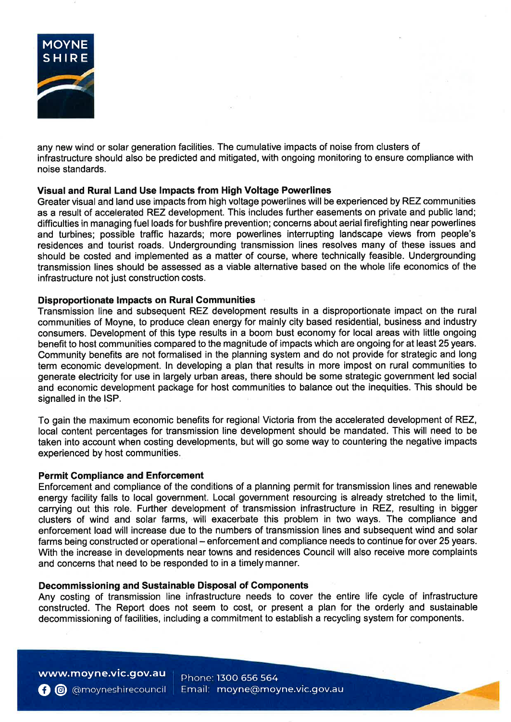

any new wind or solar generation facilities. The cumulative impacts of noise from clusters of infrastructure should also be predicted and mitigated, with ongoing monitoring to ensure compliance with noise standards.

# Visual and Rural Land Use lmpacts from High Voltage Powerlines

Greater visual and land use impacts from high voltage powerlines will be experienced by REZ communities as a result of accelerated REZ development. This includes further easements on private and public land; difficulties in managing fuel loads for bushfire prevention; concerns about aerial firefighting near powerlines and turbines; possible traffic hazards; more powerlines interrupting landscape views from people's residences and tourist roads. Undergrounding transmission lines resolves many of these issues and should be costed and implemented as a matter of course, where technically feasible. Undergrounding transmission lines should be assessed as a viable alternative based on the whole life economics of the infrastructure not just construction costs.

## Disproportionate lmpacts on Rural Communities

Transmission line and subsequent REZ development results in a disproportionate impact on the rural communities of Moyne, to produce clean energy for mainly city based residential, business and industry consumers. Development of this type results in a boom bust economy for local areas with little ongoing benefit to host communities compared to the magnitude of impacts which are ongoing for at least 25 years. Community benefits are not formalised in the planning system and do not provide for strategic and long term economic development. ln developing a plan that results in more impost on rural communities to generate electricity for use in largely urban areas, there should be some strategic government led social and economic development package for host communities to balance out the inequities. This should be signalled in the lSP.

To gain the maximum economic benefits for regional Victoria from the accelerated development of REZ, local content percentages for transmission line development should be mandated. This will need to be taken into account when costing developments, but will go some way to countering the negative impacts experienced by host communities.

#### Permit Compliance and Enforcement

Enforcement and compliance of the conditions of a planning permit for transmission lines and renewable energy facility falls to local government. Local government resourcing is already stretched to the limit, carrying out this role. Further development of transmission infrastructure in REZ, resulting in bigger clusters of wind and solar farms, will exacerbate this problem in two ways. The compliance and enforcement load will increase due to the numbers of transmission lines and subsequent wind and solar farms being constructed or operational – enforcement and compliance needs to continue for over 25 years. With the increase in developments near towns and residences Council will also receive more complaints and concerns that need to be responded to in a timely manner.

#### Decommissioning and Sustainable Disposal of Components

Any costing of transmission line infrastructure needs to cover the entire life cycle of infrastructure constructed. The Report does not seem to cost, or present a plan for the orderly and sustainable decommissioning of facilities, including a commitment to establish a recycling system for components.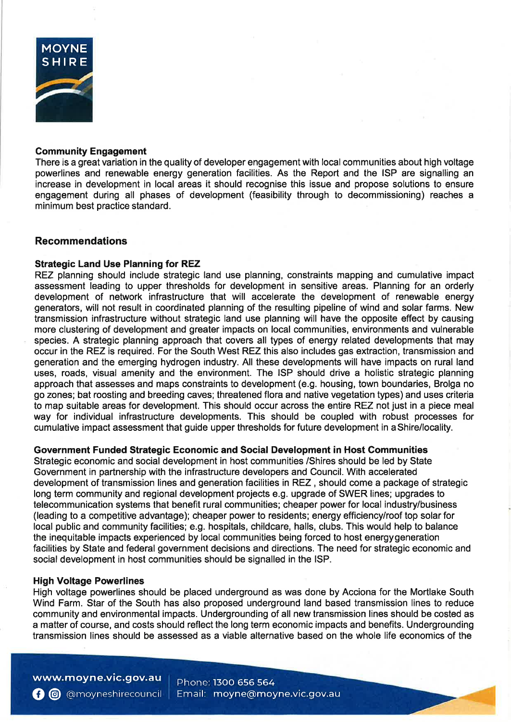

## Community Engagement

There is a great variation in the quality of developer engagement with local communities about high voltage powerlines and renewable energy generation facilities. As the Report and the ISP are signalling an increase in development in local areas it should recognise this issue and propose solutions to ensure engagement during all phases of development (feasibility through to decommissioning) reaches a minimum best practice standard.

# Recommendations

## Strategic Land Use Planning for REZ

REZ planning should include strategic land use planning, constraints mapping and cumulative impact assessment leading to upper thresholds for development in sensitive areas. Planning for an orderly development of network infrastructure that will accelerate the development of renewable energy generators, will not result in coordinated planning of the resulting pipeline of wind and solar farms. New transmission infrastructure without strategic land use planning will have the opposite effect by causing more clustering of development and greater impacts on local communities, environments and vulnerable species. A strategic planning approach that covers all types of energy related developments that may occur in the REZ is required. For the South West REZ this also includes gas extraction, transmission and generation and the emerging hydrogen industry. All these developments will have impacts on rural land uses, roads, visual amenity and the environment. The ISP should drive a holistic strategic planning approach that assesses and maps constraints to development (e.9. housing, town boundaries, Brolga no go zones; bat roosting and breeding caves; threatened flora and native vegetation types)and uses criteria to map suitable areas for development. This should occur across the entire REZ not just in a piece meal way for individual infrastructure developments. This should be coupled with robust processes for cumulative impact assessment that guide upper thresholds for future development in aShire/locality.

# Government Funded Strategic Economic and Social Development in Host Communities

Strategic economic and social development in host communities /Shires should be led by State Government in partnership with the infrastructure developers and Council. With accelerated development of transmission lines and generation facilities in REZ , should come a package of strategic long term community and regional development projects e.g. upgrade of SWER lines; upgrades to telecommunication systems that benefit rural communities; cheaper power for local industry/business (leading to a competitive advantage); cheaper power to residents; energy efficiency/roof top solar for local public and community facilities; e.g. hospitals, childcare, halls, clubs. This would help to balance the inequitable impacts experienced by local communities being forced to host energygeneration facilities by State and federal government decisions and directions. The need for strategic economic and social development in host communities should be signalled in the lSP.

#### High Voltage Powerlines

High voltage powerlines should be placed underground as was done by Acciona for the Mortlake South Wind Farm. Star of the South has also proposed underground land based transmission lines to reduce community and environmental impacts. Undergrounding of all new transmission lines should be costed as a matter of course, and costs should reflect the long term economic impacts and benefits. Undergrounding transmission lines should be assessed as a viable alternative based on the whole life economics of the